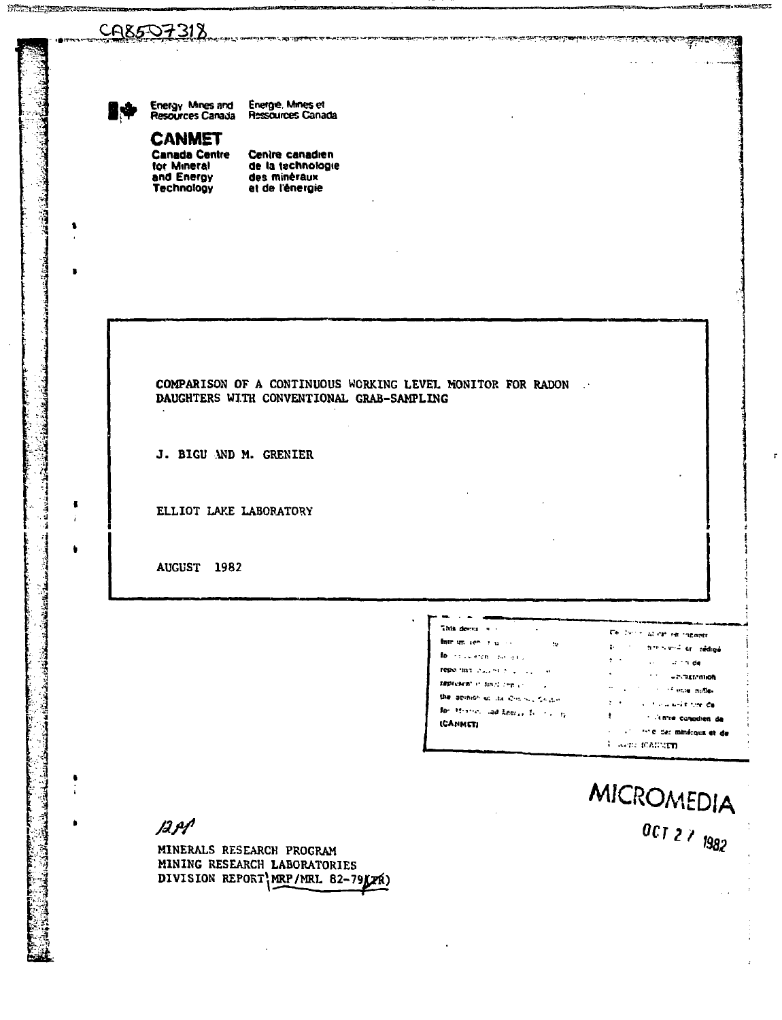# CA8507318



**START TE MEMORIAN START SERVICE** 

 $\blacksquare$ 

 $\mathbf{r}$ 

۰

J.

Énergie, Mines et<br>Ressources Canada Energy Mines and<br>Resources Canada

**CANMET Canada Centre** for Mineral and Energy **Technology** 

Centre canadien de la technologie des minéraux et de l'énergie

## COMPARISON OF A CONTINUOUS WORKING LEVEL MONITOR FOR RADON. DAUGHTERS WITH CONVENTIONAL GRAB-SAMPLING

J. BIGU AND M. GRENIER

ELLIOT LAKE LABORATORY

AUGUST 1982

| This deep and the                                    | Te der machen en innennt               |
|------------------------------------------------------|----------------------------------------|
| fate un contratto de<br>-92                          | a controverdier reduce                 |
| for the article and and                              | $\mathbf{r}$<br><b>Second Stringer</b> |
| reporting packets a company of                       | nounrainment of the                    |
| <b>SEPROFET IN SHOT THE UNI</b>                      | the control of the state matter        |
| the agency of the Connect California                 | For the contract of the ca-            |
| for History and Leery, To 1920 by<br><b>ICANNETI</b> | in'te canodien de                      |
|                                                      | compared the fact mindigus at de-      |
|                                                      | were manutu                            |

مجال بين مجرس

MICROMEDIA 007 2 7 1982

**or. wikipiek Pf 1205 I** 

i7.

 $AB$ 

MINERALS RESEARCH PROGRAM MINING RESEARCH LABORATORIES DIVISION REPORT MRP/MRL 82-79XXX)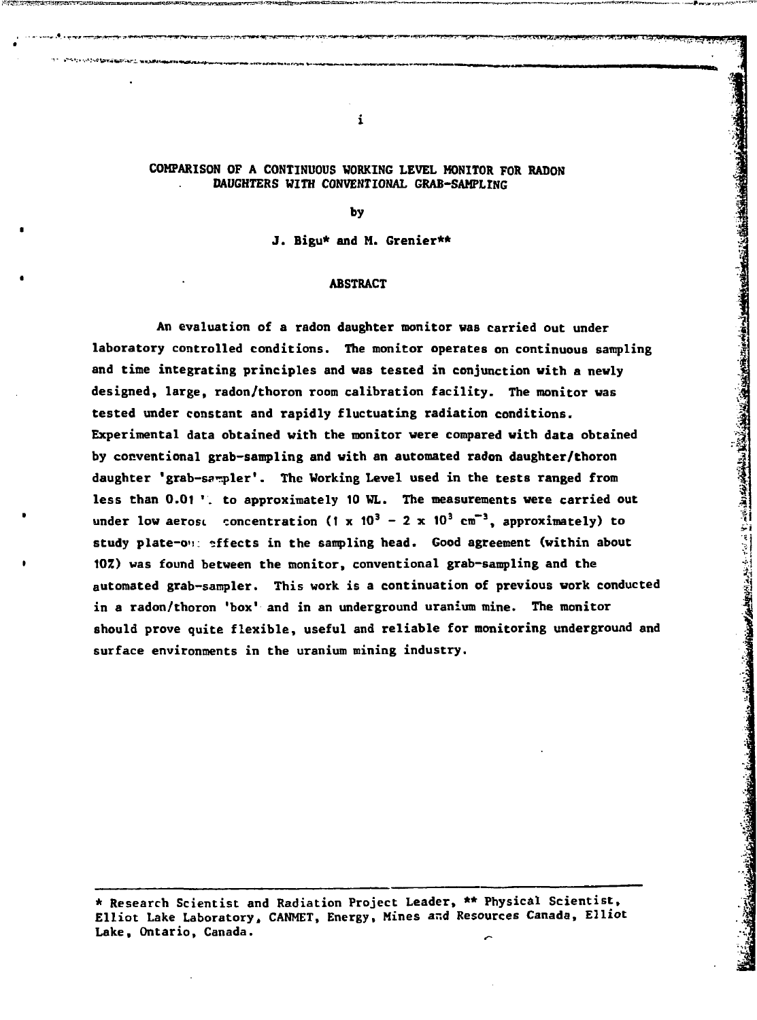# **COMPARISON OF A CONTINUOUS WORKING LEVEL MONITOR FOR RADON DAUGHTERS WITH CONVENTIONAL GRAB-SAMPLING**

 $\mathbf{i}$ 

 $\cdots$  with  $\cdots$  in  $\cdots$ 

**by**

**J. Bigu\* and M. Grenier\*\***

# **ABSTRACT**

**An evaluation of a radon daughter monitor was carried out under laboratory controlled conditions. The monitor operates on continuous sampling and time integrating principles and was tested in conjunction with a newly designed, large, radon/thoron room calibration facility. The monitor was tested under constant and rapidly fluctuating radiation conditions. Experimental data obtained with the monitor were compared with data obtained by conventional grab-sampling and with an automated radon daughter/thoron daughter 'grab-sampler<sup>1</sup>. The Working Level used in the tests ranged from less than 0.01 '. to approximately 10 WL. The measurements were carried out under low aerost concentration (1 x**  $10^3 - 2 \times 10^3$  **cm<sup>-3</sup>, approximately) to study plate-o'i: effects in the sampling head. Good agreement (within about 10Z) was found between the monitor, conventional grab-sampling and the automated grab-sampler. This work is a continuation of previous work conducted in a radon/thoron 'box' and in an underground uranium mine. The monitor should prove quite flexible, useful and reliable for monitoring underground and surface environments in the uranium mining industry.**

**\* Research Scientist and Radiation Project Leader, \*\* Physical Scientist, Elliot Lake Laboratory, CANMET, Energy, Mines ar.d Resources Canada, Elliot Lake, Ontario, Canada.**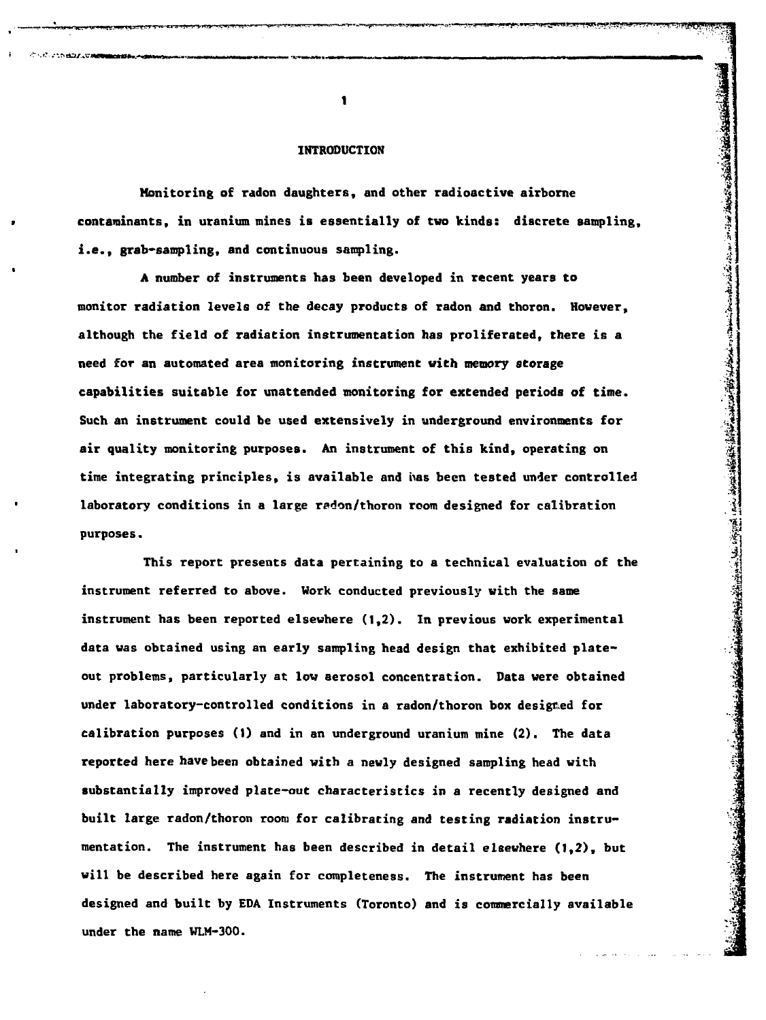#### **INTRODUCTION**

**Monitoring of radon daughters, and other radioactive airborne contaminants, in uranium mines is essentially of two kinds : discrete sampling, i.e., grab-sampling, and continuous sampling.**

A number of instruments has been developed in recent years to **monitor radiation levels of the decay products of radon and thoron. However , although the field of radiation instrumentation has proliferated, there is a 3. need for a n automated area monitorin g instrument wit h memor y storage capabilities suitable for unattended monitoring for extended periods of time .** Such an instrument could be used extensively in underground environments for air quality monitoring purposes. An instrument of this kind, operating on time integrating principles. is available and has been tested under controlled laboratory conditions in a large radon/thoron room designed for calibration **laboratory conditions in a large radon/thoron room designed for calibration |**

This report presents data pertaining to a technical evaluation of the instrument referred to above. Work conducted previously with the same instrument has been reported elsewhere (1,2). In previous work experimental data was obtained using an early sampling head design that exhibited plateout problems, particularly at low aerosol concentration. Data were obtained under laboratory-controlled conditions in a radon/thoron box desigmed for calibration purposes (1) and in an underground uranium mine (2). The data reported here have been obtained with a newly designed sampling head with substantially improved plate-out characteristics in a recently designed and mentation. The instrument has been described in detail elsewhere (1,2), but will be described here again for completeness. The instrument has been

 $\blacksquare$ 

?3SS!

**4 i**

Check Miles of

**Address Company Address Company of Company Address Company Address Company Address Company Address Company Address Company Address Company Address Company Address Company Address Company Address Company Address Company Ad**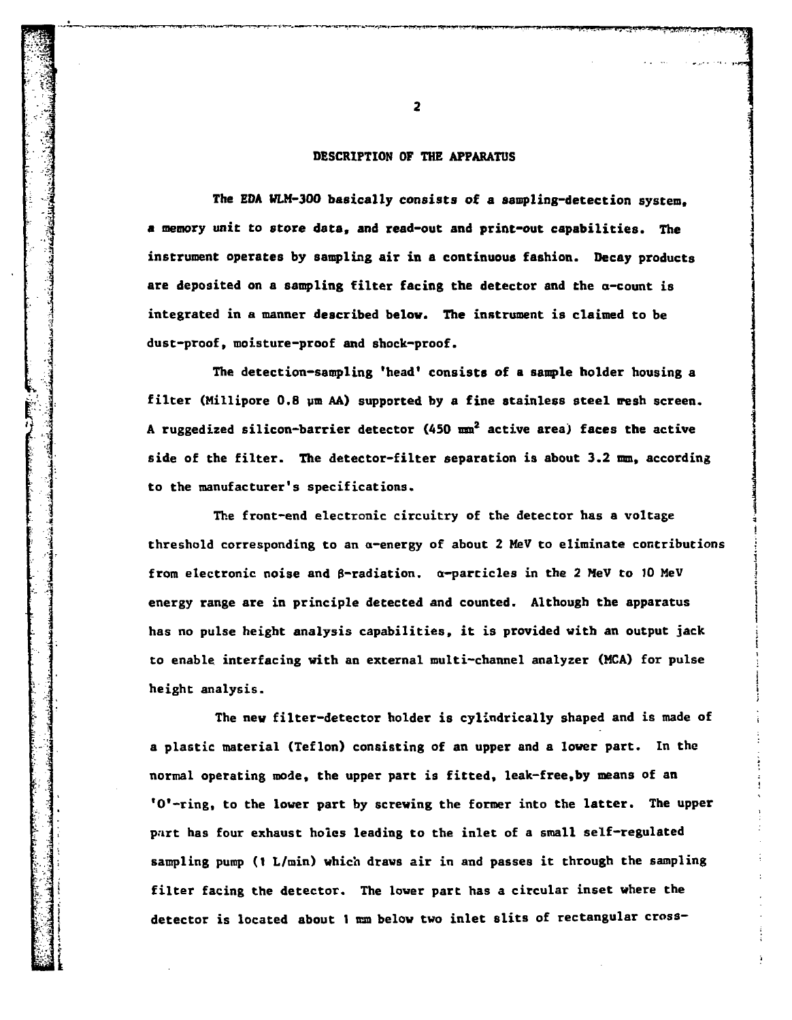# **DESCRIPTION OF THE APPARATUS**

**The EDA WLM-300 basically consists of a sampling-detection system, a memory unit to store data, and read-out and print-out capabilities. The instrument operates by sampling air in a continuous fashion. Decay products are deposited on a sampling filter facing the detector and the a-count is integrated in a manner described below. The instrument is claimed to be dust-proof, moisture-proof and shock-proof.**

**The detection-sampling 'head\* consists of a sample holder housing a** filter (Millipore 0.8 um AA) supported by a fine stainless steel wesh screen. **A ruggedized silicon-barrier detector (450 mm<sup>2</sup> active area) faces the active side of the filter. The detector-filter separation is about 3.2 mm, according to the manufacturer's specifications.**

**The front-end electronic circuitry of the detector has a voltage threshold corresponding to an a-energy of about 2 MeV to eliminate contributions j** from electronic noise and  $\beta$ -radiation.  $\alpha$ -particles in the 2 MeV to 10 MeV energy range are in principle detected and counted. Although the apparatus has no pulse height analysis capabilities, it is provided with an output jack to enable interfacing with an external multi-channel analyzer (MCA) for pulse **to enable interfacing with an external multi-channel analyzer (MCA) for pulse •**

The new filter-detector holder is cylindrically shaped and is made of a plastic material (Teflon) consisting of an upper and a lower part. In the normal operating mode, the upper part is fitted, leak-free, by means of an **<sup>1</sup>O'-ring, to the lower part by screwing the former into the latter. The upper** part has four exhaust holes leading to the inlet of a small self-regulated sampling pump (1 L/min) which draws air in and passes it through the sampling filter facing the detector. The lower part has a circular inset where the detector is located about 1 mm below two inlet slits of rectangular cross-

**I detector is located about 1 nan below two inlet slits of rectangular cross-**

 $\overline{2}$ 

 $\mathcal{L}$  . In the contract of the contract of  $\mathcal{L}$ 

**!**

**x**

i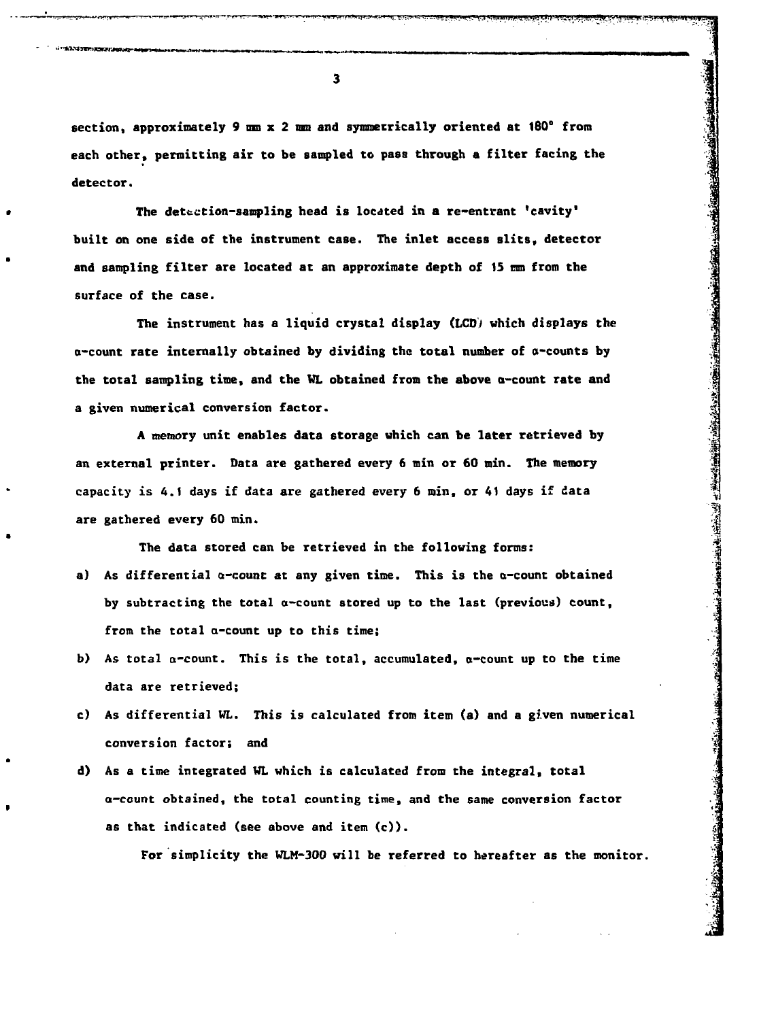**section, approximately 9 mn x 2 ran and symmetrically oriented at ISO" from each other, permitting air to be sampled to pass through a filter facing the detector.**

The detection-sampling head is located in a re-entrant 'cavity' **built on one side of the instrument case. The inlet access slits, detector and sampling filter are located at an approximate depth of 15 ran from the surface of the case.**

**The instrument has a liquid crystal display (LCD) which displays the a-count rate internally obtained by dividing the total number of a-counts by the total sampling time, and the WL obtained from the above a-count rate and a given numerical conversion factor.**

**A memory unit enables data storage which can be later retrieved by an external printer. Data are gathered every 6 min or 60 min. The memory capacity is 4.1 days if data are gathered every 6 min, or 41 days if data are gathered every 60 min.**

**The data stored can be retrieved in the following forms:**

- **a) As differential a-count at any given time. This is the a-count obtained by subtracting the total a-count stored up to the last (previous) count, from the total a-count up to this time;**
- **b) As total a-count. This is the total, accumulated, a-count up to the time data are retrieved;**
- c) As differential WL. This is calculated from item (a) and a given numerical conversion factor; and **conversion factor; and |**
- **d) As a time integrated WL which is calculated from the integral, total a-count obtained, the total counting time, and the same conversion factor**

**For simplicity the WLH-300 will be referred to hereafter as the monitor.**

**i!**

**1**

 $\overline{\mathbf{3}}$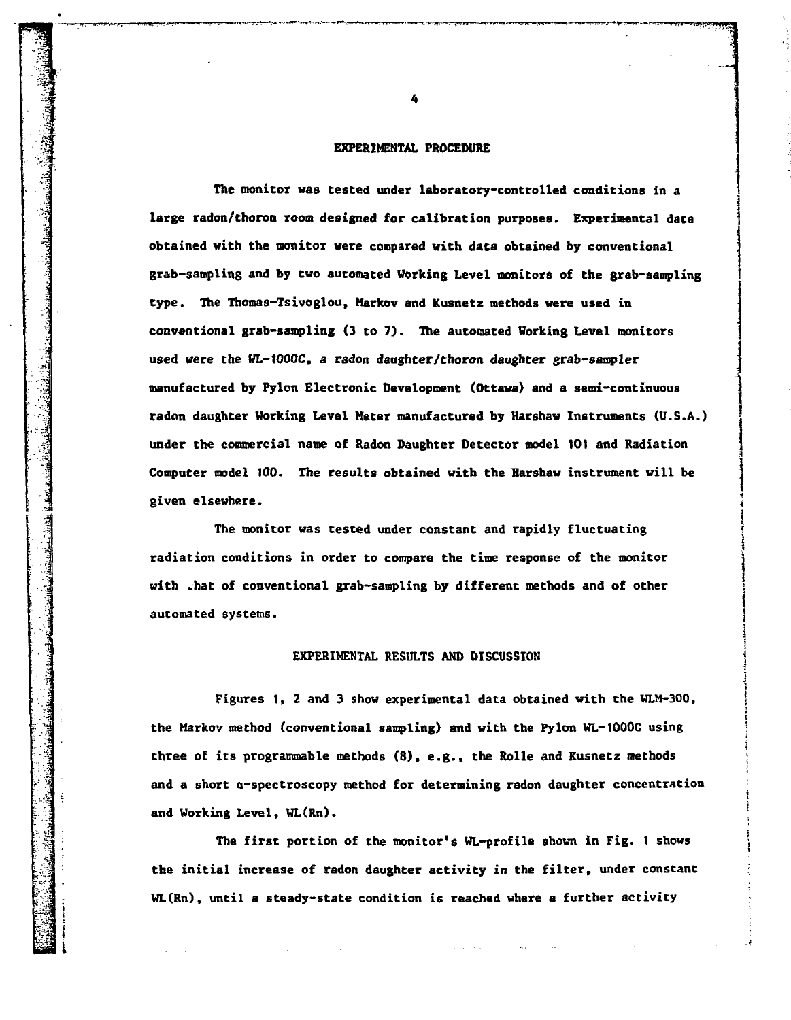#### **EXPERIMENTAL PROCEDURE**

**The monitor was tested under laboratory-controlled conditions in a large radon/thoron room designed for calibration purposes. Experimental data obtained with the monitor were compared with data obtained by conventional grab-sampling and by two automated Working Level monitors of the grab-sampling type. The Thomas-Tsivoglou, Markov and Kusnetz methods were used in conventional grab-sampling (3 to 7). The automated Working Level monitors used were the WL-tOOOC, a radon daughter/thoron daughter grab-sampler manufactured by Pylon Electronic Development (Ottawa) and a semi-continuous radon daughter Working Level Meter manufactured by Harshaw Instruments (U.S.A.) under the commercial name of Radon Daughter Detector model 101 and Radiation Computer model 100. The results obtained with the Harshaw instrument will be given elsewhere. 3**

**The monitor was tested under constant and rapidly fluctuating ' radiation conditions in order to compare the time response of the monitor \ with -hat of conventional grab-sampling by different methods and of other ; automated systems. j**

بأندقة وتخاذنا ومنسا التماشدان

**j**

**|**

t

**1**

### **EXPERIMENTAL RESULTS AND DISCUSSION j**

**Figures 1, 2 and 3 show experimental data obtained with the WLM-300, j the Markov method (conventional sampling) and with the Pylon WL-1000C using ! three of its programmable methods (8), e.g., the Rolle and Kusnetz methods j and a short a-spectroscopy method for determining radon daughter concentration** and Working Level, WL(Rn).

The first portion of the monitor's WL-profile shown in Fig. 1 shows **The first portion of the monitor's WL-profile shown in Fig. 1 shows \** WL(Rn), until a steady-state condition is reached where a further activity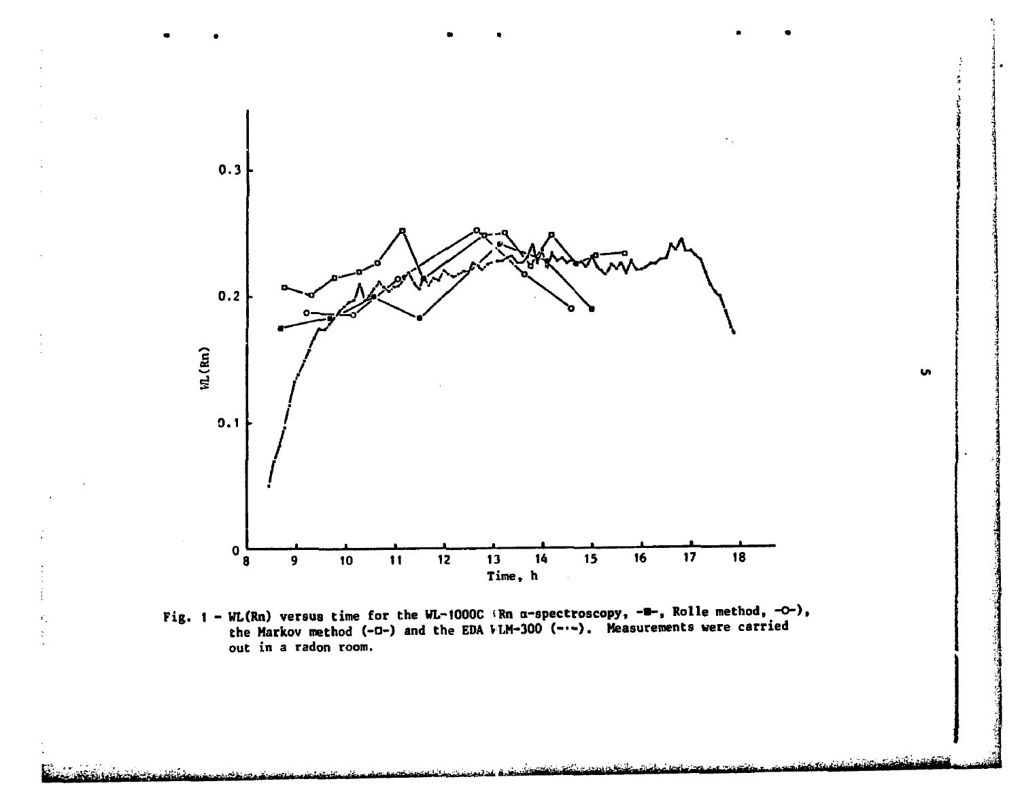

u.

Fig. 1 - WL(Rn) versus time for the WL-1000C (Rn a-spectroscopy,  $-\equiv$ -, Rolle method,  $-\infty$ ), the Markov method (-a-) and the EDA VLM-300 (---). Measurements were carried **out in a radon room.**

-.^a:. . ••£-— ,|<sup>&</sup>lt;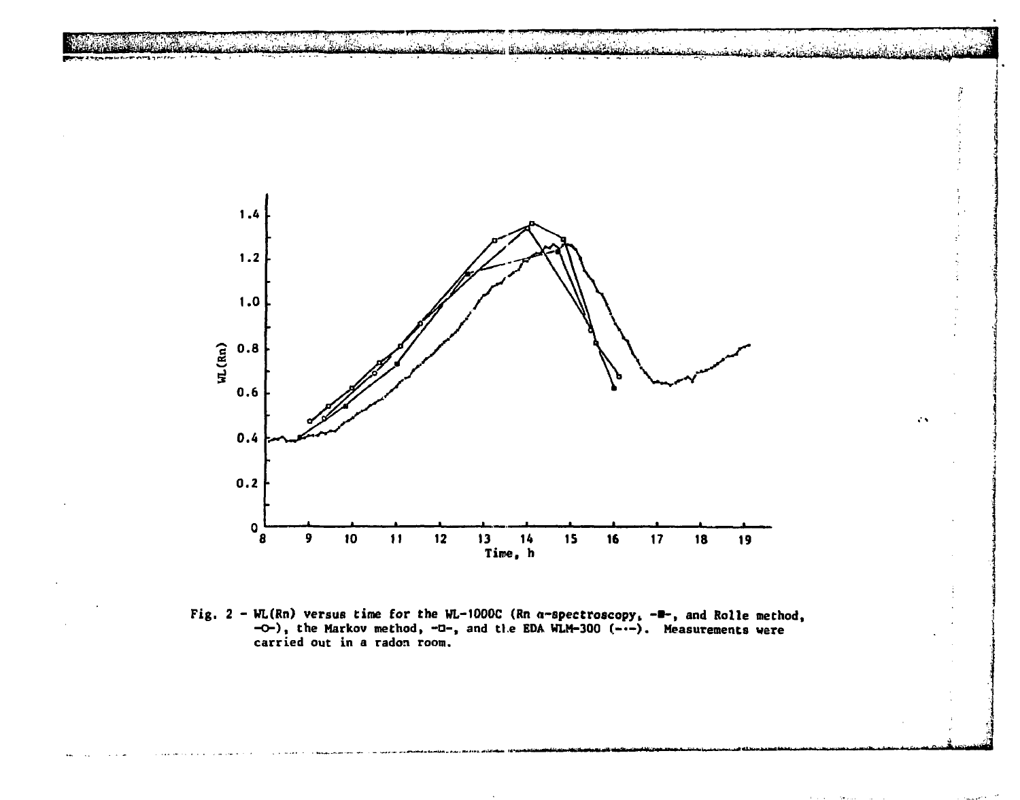

ĵ

V.



**Fig. 2 - WL(Rn) versus time for the WL-1000C (Rn a-spectroscopy, -•-, and Rolle method, -O-) , the Markov method, -•-, and tl.e EDA WLM-300 (-•-). Measurements were carried out in a radon room.**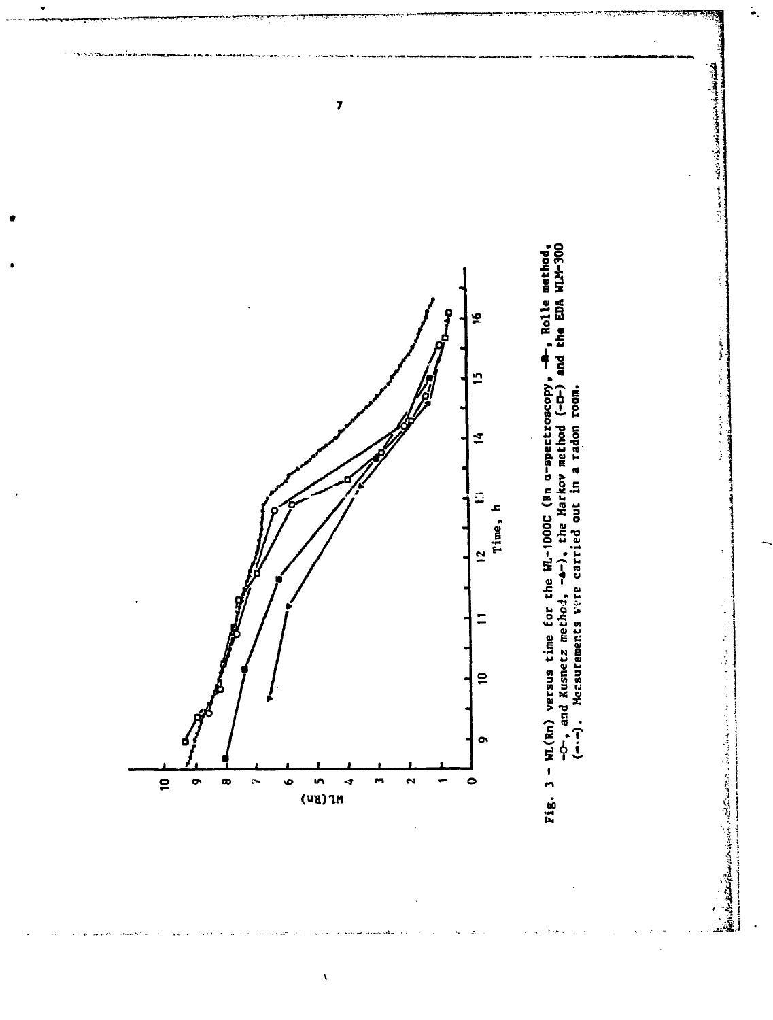

À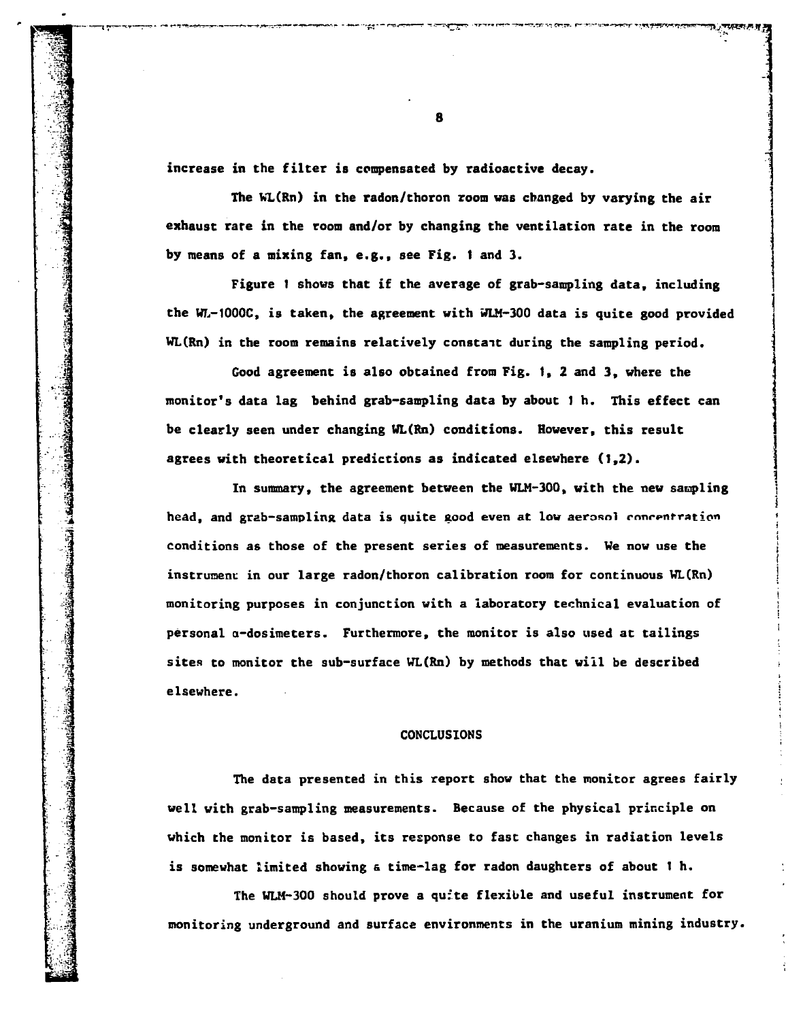**increase in the filter is compensated by radioactive decay.**

**The WL(Rn) in the radon/thoron room was changed by varying the air exhaust rare in the room and/or by changing the ventilation rate in the room by means of a mixing fan, e.g., see Fig. 1 and 3.**

**Figure 1 shows that if the average of grab-sampling data, including the WL-1000C, is taken, the agreement with WLM-300 data is quite good provided WL(Rn) in the room remains relatively constait during the sampling period.**

**Good agreement is also obtained from Fig. 1,2 and 3, where the monitor's data lag behind grab-sampling data by about 1 h. This effect can be clearly seen under changing UL(Rn) conditions. However, this result agrees with theoretical predictions as indicated elsewhere (1,2).**

**In summary, the agreement between the WLM-300, with the new sampling** head, and grab-sampling data is quite good even at low aerosol concentration **conditions as those of the present series of measurements. We now use the ; instrument in our large radon/thoron calibration room for continuous WL(Rn) j monitoring purposes in conjunction with a laboratory technical evaluation of ; personal a-dosimeters. Furthermore, the monitor is also used at tailings ' sites to monitor the sub-surface WL(Rn) by methods that will be described i elsewhere. j**

**I**

**S**

ilia.

#### **CONCLUSIONS \**

**The data presented in this report show that the monitor agrees fairly : well with grab-sampling measurements. Because of the physical principle on which the monitor is based, its response to fast changes in radiation levels is somewhat limited showing & time-lag for radon daughters of about 1 h.**

**The WLM-300 should prove a qufte flexible and useful instrument for monitoring underground and surface environments in the uranium mining industry.**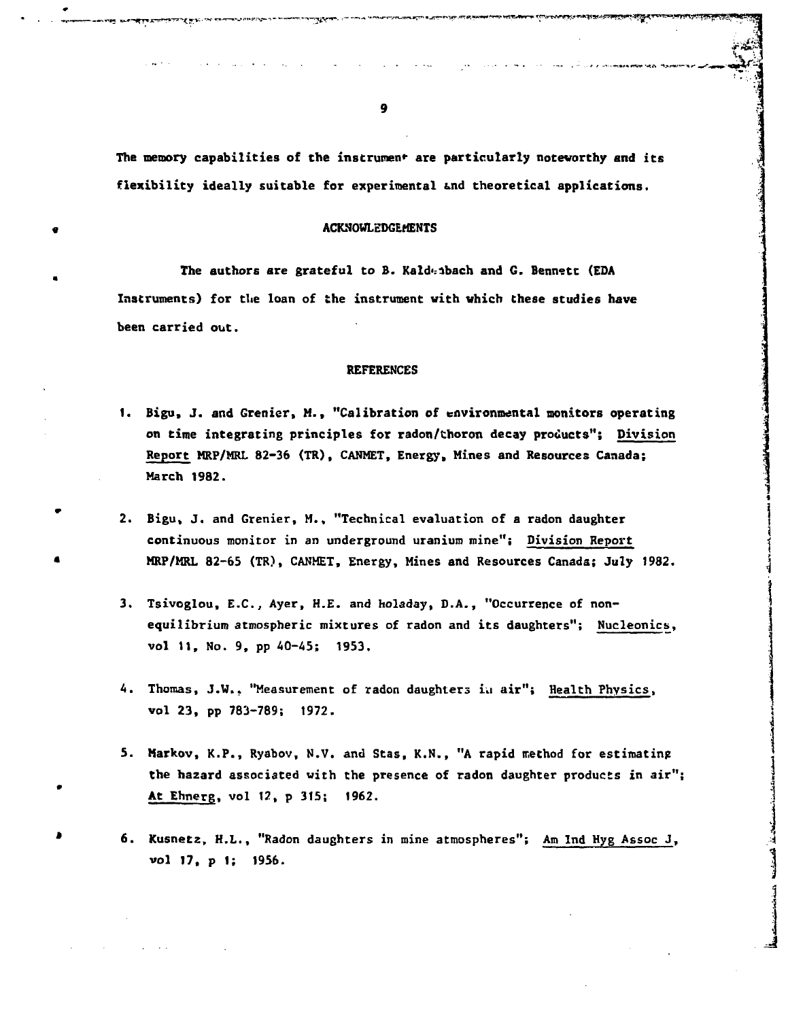**The memory capabilities of the instrument are particularly notevorthy and its flexibility ideally suitable for experimental &nd theoretical applications.** ';

'•i

 $\frac{1}{2}$ 

**i**

## **« ACKNOWLEDGEMENTS**

The authors are grateful to B. Kaldenbach and G. Bennett (EDA **Instruments) for tlie loan of the instrument with which these studies have been carried out.**

## **REFERENCES**

- **1. Bigu, J. and Grenier, M., "Calibration of environmental monitors operating on time integrating principles for radon/thoron decay products"; Division Report MRP/MRL 82-36 (TR), CANMET, Energy, Mines and Resources Canada; March 1982.**
- **2. Bigu, J. and Grenier, M., "Technical evaluation of a radon daughter continuous monitor in an underground uranium mine"; Division Report • MRP/MRL 82-65 (TR), CANMET, Energy, Mines and Resources Canada; July 1982. j**
- **3.** Tsivoglou, E.C., Ayer, H.E. and holaday, D.A., "Occurrence of nonequilibrium atmospheric mixtures of radon and its daughters"; Nucleonics, vol 11, No. 9, pp 40-45; 1953.
- 4. Thomas, J.W.. "Measurement of radon daughters in air"; Health Physics, vol 23, pp 783-789; 1972.
- 5. Markov, K.P., Ryabov, N.V. and Stas, K.N., "A rapid method for estimating **the** hazard associated vith the presence of radon daughter products in air"; At Ehnerg. vol 12, p 315; 1962.
- 6. Kusnetz, H.L., "Radon daughters in mine atmospheres"; Am Ind Hyg Assoc J, **vol 17, p 1; 1956.**

**9**